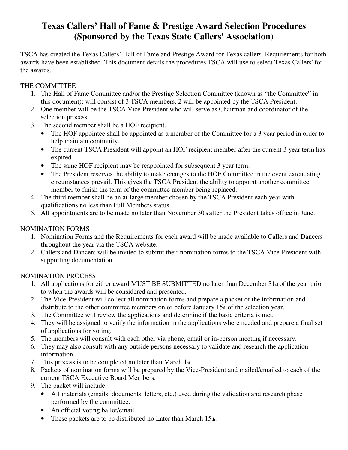# **Texas Callers' Hall of Fame & Prestige Award Selection Procedures (Sponsored by the Texas State Callers' Association)**

TSCA has created the Texas Callers' Hall of Fame and Prestige Award for Texas callers. Requirements for both awards have been established. This document details the procedures TSCA will use to select Texas Callers' for the awards.

### THE COMMITTEE

- 1. The Hall of Fame Committee and/or the Prestige Selection Committee (known as "the Committee" in this document); will consist of 3 TSCA members, 2 will be appointed by the TSCA President.
- 2. One member will be the TSCA Vice-President who will serve as Chairman and coordinator of the selection process.
- 3. The second member shall be a HOF recipient.
	- The HOF appointee shall be appointed as a member of the Committee for a 3 year period in order to help maintain continuity.
	- The current TSCA President will appoint an HOF recipient member after the current 3 year term has expired
	- The same HOF recipient may be reappointed for subsequent 3 year term.
	- The President reserves the ability to make changes to the HOF Committee in the event extenuating circumstances prevail. This gives the TSCA President the ability to appoint another committee member to finish the term of the committee member being replaced.
- 4. The third member shall be an at-large member chosen by the TSCA President each year with qualifications no less than Full Members status.
- 5. All appointments are to be made no later than November 30th after the President takes office in June.

## NOMINATION FORMS

- 1. Nomination Forms and the Requirements for each award will be made available to Callers and Dancers throughout the year via the TSCA website.
- 2. Callers and Dancers will be invited to submit their nomination forms to the TSCA Vice-President with supporting documentation.

## NOMINATION PROCESS

- 1. All applications for either award MUST BE SUBMITTED no later than December  $31<sub>st</sub>$  of the year prior to when the awards will be considered and presented.
- 2. The Vice-President will collect all nomination forms and prepare a packet of the information and distribute to the other committee members on or before January 15th of the selection year.
- 3. The Committee will review the applications and determine if the basic criteria is met.
- 4. They will be assigned to verify the information in the applications where needed and prepare a final set of applications for voting.
- 5. The members will consult with each other via phone, email or in-person meeting if necessary.
- 6. They may also consult with any outside persons necessary to validate and research the application information.
- 7. This process is to be completed no later than March 1st.
- 8. Packets of nomination forms will be prepared by the Vice-President and mailed/emailed to each of the current TSCA Executive Board Members.
- 9. The packet will include:
	- All materials (emails, documents, letters, etc.) used during the validation and research phase performed by the committee.
	- An official voting ballot/email.
	- These packets are to be distributed no Later than March  $15<sub>th</sub>$ .